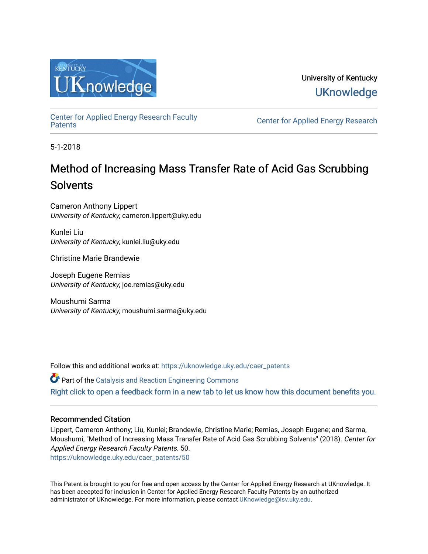

University of Kentucky **UKnowledge** 

[Center for Applied Energy Research Faculty](https://uknowledge.uky.edu/caer_patents)

Center for Applied Energy Research

5-1-2018

# Method of Increasing Mass Transfer Rate of Acid Gas Scrubbing **Solvents**

Cameron Anthony Lippert University of Kentucky, cameron.lippert@uky.edu

Kunlei Liu University of Kentucky, kunlei.liu@uky.edu

Christine Marie Brandewie

Joseph Eugene Remias University of Kentucky, joe.remias@uky.edu

Moushumi Sarma University of Kentucky, moushumi.sarma@uky.edu

Follow this and additional works at: [https://uknowledge.uky.edu/caer\\_patents](https://uknowledge.uky.edu/caer_patents?utm_source=uknowledge.uky.edu%2Fcaer_patents%2F50&utm_medium=PDF&utm_campaign=PDFCoverPages) 

Part of the [Catalysis and Reaction Engineering Commons](http://network.bepress.com/hgg/discipline/242?utm_source=uknowledge.uky.edu%2Fcaer_patents%2F50&utm_medium=PDF&utm_campaign=PDFCoverPages)  [Right click to open a feedback form in a new tab to let us know how this document benefits you.](https://uky.az1.qualtrics.com/jfe/form/SV_9mq8fx2GnONRfz7)

# Recommended Citation

Lippert, Cameron Anthony; Liu, Kunlei; Brandewie, Christine Marie; Remias, Joseph Eugene; and Sarma, Moushumi, "Method of Increasing Mass Transfer Rate of Acid Gas Scrubbing Solvents" (2018). Center for Applied Energy Research Faculty Patents. 50. [https://uknowledge.uky.edu/caer\\_patents/50](https://uknowledge.uky.edu/caer_patents/50?utm_source=uknowledge.uky.edu%2Fcaer_patents%2F50&utm_medium=PDF&utm_campaign=PDFCoverPages)

This Patent is brought to you for free and open access by the Center for Applied Energy Research at UKnowledge. It has been accepted for inclusion in Center for Applied Energy Research Faculty Patents by an authorized administrator of UKnowledge. For more information, please contact [UKnowledge@lsv.uky.edu](mailto:UKnowledge@lsv.uky.edu).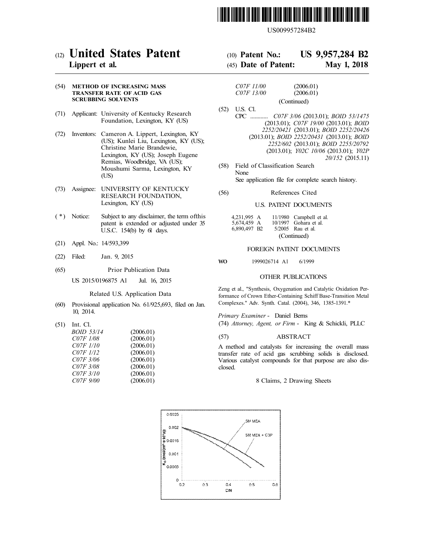

US009957284B2

# (12) **United States Patent**

# **Lippert et al.**

# (54) **METHOD OF INCREASING MASS TRANSFER RATE OF ACID GAS SCRUBBING SOLVENTS**

- (71) Applicant: University of Kentucky Research Foundation, Lexington, KY (US)
- (72) Inventors: Cameron A. Lippert, Lexington, KY (US); Kunlei Liu, Lexington, KY (US); Christine Marie Brandewie, Lexington, KY (US); Joseph Eugene Remias, Woodbridge, VA (US); Moushumi Sarma, Lexington, KY (US)
- (73) Assignee: UNIVERSITY OF KENTUCKY RESEARCH FOUNDATION, Lexington, KY (US)
- ( \*) Notice: Subject to any disclaimer, the term ofthis patent is extended or adjusted under 35 U.S.C. 154(b) by 61 days.
- (21) Appl. No.: 14/593,399
- (22) Filed: Jan. 9, 2015
- (65) Prior Publication Data

US 2015/0196875 Al Jul. 16, 2015

# Related U.S. Application Data

- (60) Provisional application No. 61/925,693, filed on Jan. 10, 2014.
- (51) Int. Cl.

| <b>BOID 53/14</b> | (2006.01) |
|-------------------|-----------|
| C07F 1/08         | (2006.01) |
| C07F 1/10         | (2006.01) |
| C07F1/12          | (2006.01) |
| C07F 3/06         | (2006.01) |
| C07F 3/08         | (2006.01) |
| C07F 3/10         | (2006.01) |
| C07F 9/00         | (2006.01) |

#### **US 9,957,284 B2**  (10) **Patent No.:**

#### **May 1, 2018**  (45) **Date of Patent:**

| C07F 11/00 | (2006.01)   |
|------------|-------------|
| C07F 13/00 | (2006.01)   |
|            | (Continued) |

- (52) U.S. Cl. CPC ............ *C07F 3/06* (2013.01); *BOID 53/1475*  (2013.01); *C07F 19/00* (2013.01); *BOID 2252/20421* (2013.01); *BOID 2252/20426*  (2013.01); *BOID 2252/20431* (2013.01); *BOID 2252/602* (2013.01); *BOID 2255/20792*  (2013.01); *Y02C 10/06* (2013.01); *Y02P 20/152* (2015.11)
- (58) Field of Classification Search None See application file for complete search history.
- (56) References Cited

# U.S. PATENT DOCUMENTS

| 4,231,995 A  |             |  | 11/1980 Campbell et al. |  |  |
|--------------|-------------|--|-------------------------|--|--|
| 5,674,459 A  |             |  | 10/1997 Gohara et al.   |  |  |
| 6,890,497 B2 |             |  | 5/2005 Rau et al.       |  |  |
|              | (Continued) |  |                         |  |  |

# FOREIGN PATENT DOCUMENTS

**WO**  1999026714 Al 6/1999

# OTHER PUBLICATIONS

Zeng et al., "Synthesis, Oxygenation and Catalytic Oxidation Performance of Crown Ether-Containing Schiff Base-Transition Metal Complexes." Adv. Synth. Catal. (2004), 346, 1385-1391.\*

*Primary Examiner* - Daniel Berns (74) *Attorney, Agent, or Firm* - King & Schickli, PLLC

## (57) ABSTRACT

A method and catalysts for increasing the overall mass transfer rate of acid gas scrubbing solids is disclosed. Various catalyst compounds for that purpose are also disclosed.

# 8 Claims, 2 Drawing Sheets

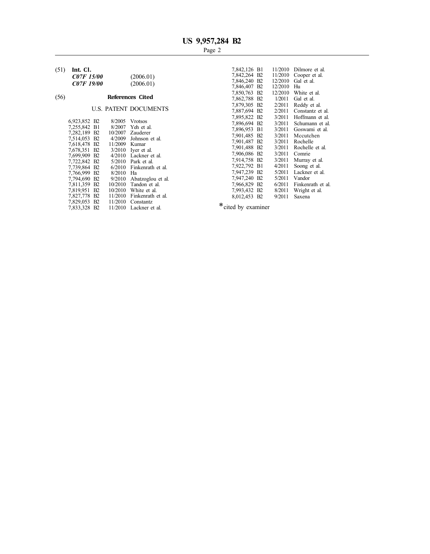# 7,850,763 B2 12/2010 White et al. (56) **References Cited** 7,862,788 B2 1/2011 Gal et al.

# U.S. PATENT DOCUMENTS

| 6,923,852 B2             | 8/2005        | Vrotsos                   |                          |        |                        |
|--------------------------|---------------|---------------------------|--------------------------|--------|------------------------|
|                          |               |                           | 7,896,694 B2             | 3/2011 | Schumann et            |
| 7.255.842 B1             |               | 8/2007 Yeh et al.         | 7,896,953 B1             |        | 3/2011 Goswami et a    |
| 7.282,189 B2             |               | 10/2007 Zauderer          | 7.901.485 B2             |        | 3/2011 Mccutchen       |
| 7.514.053 B2             | 4/2009        | Johnson et al.            |                          |        |                        |
| 7.618.478 B2             | 11/2009 Kumar |                           | 7,901,487 B <sub>2</sub> | 3/2011 | Rochelle               |
| 7.678.351 B2             |               | $3/2010$ Iver et al.      | 7,901,488 B2             |        | 3/2011 Rochelle et al. |
|                          |               |                           | 7,906,086 B2             |        | $3/2011$ Comrie        |
| 7.699.909 B <sub>2</sub> |               | $4/2010$ Lackner et al.   | 7.914.758 B <sub>2</sub> |        | $3/2011$ Murray et al. |
| 7,722,842 B2             |               | $5/2010$ Park et al.      |                          |        |                        |
| 7.739.864 B2             |               | 6/2010 Finkenrath et al.  | 7.922.792 B1             | 4/2011 | Soong et al.           |
| 7.766.999 B2             | 8/2010 Ha     |                           | 7.947.239 B2             |        | 5/2011 Lackner et al.  |
| 7.794.690 B2             |               | 9/2010 Abatzoglou et al.  | 7,947,240 B2             | 5/2011 | Vandor                 |
| 7.811.359 B2             |               | $10/2010$ Tandon et al.   | 7,966,829 B2             |        | $6/2011$ Finkenrath et |
| 7.819.951 B2             |               | $10/2010$ White et al.    | 7,993,432 B <sub>2</sub> |        | 8/2011 Wright et al.   |
| 7,827,778 B2             |               | 11/2010 Finkenrath et al. | 8,012,453 B2             | 9/2011 | Saxena                 |
| 7,829,053 B2             |               | $11/2010$ Constantz       |                          |        |                        |
| 7,833,328 B2             |               | $11/2010$ Lackner et al.  | * cited by examiner      |        |                        |
|                          |               |                           |                          |        |                        |

| (51)<br>Int. Cl.<br>C07F 15/00<br>C07F 19/00 |                              | (2006.01)<br>(2006.01)                                       | 7,842,126 B1<br>7,842,264 B2<br>7,846,240 B2<br>7,846,407 B2 | 11/2010<br>12/2010<br>12/2010 | Dilmore et al.<br>11/2010 Cooper et al.<br>Gal et al.<br>Hu |
|----------------------------------------------|------------------------------|--------------------------------------------------------------|--------------------------------------------------------------|-------------------------------|-------------------------------------------------------------|
| (56)                                         |                              | <b>References Cited</b>                                      | 7,850,763 B2<br>7,862,788 B2                                 | 12/2010<br>1/2011             | White et al.<br>Gal et al.                                  |
|                                              |                              | <b>U.S. PATENT DOCUMENTS</b>                                 | 7,879,305 B2<br>7,887,694 B2                                 | 2/2011<br>2/2011              | Reddy et al.<br>Constantz et al.                            |
| 6,923,852 B2<br>7,255,842 B1                 | 8/2005<br>8/2007             | <b>V</b> rotsos<br>Yeh et al.                                | 7,895,822 B2<br>7,896,694 B <sub>2</sub><br>7,896,953 B1     | 3/2011<br>3/2011<br>3/2011    | Hoffmann et al.<br>Schumann et al.<br>Goswami et al.        |
| 7,282,189 B2<br>7,514,053 B2<br>7,618,478 B2 | 10/2007<br>4/2009<br>11/2009 | Zauderer<br>Johnson et al.<br>Kumar                          | 7,901,485 B2<br>7,901,487 B2<br>7,901,488 B2                 | 3/2011<br>3/2011<br>3/2011    | Mccutchen<br>Rochelle<br>Rochelle et al.                    |
| 7,678,351 B2<br>7,699,909 B2<br>7,722,842 B2 | 5/2010                       | $3/2010$ Iver et al.<br>4/2010 Lackner et al.<br>Park et al. | 7,906,086 B2<br>7,914,758 B2<br>7,922,792 B1                 | 3/2011<br>3/2011<br>4/2011    | Comrie<br>Murray et al.<br>Soong et al.                     |
| 7,739,864 B2<br>7,766,999 B2<br>7,794,690 B2 | 8/2010<br>9/2010             | 6/2010 Finkenrath et al.<br>Ha<br>Abatzoglou et al.          | 7,947,239 B2<br>7,947,240 B2                                 | 5/2011<br>5/2011              | Lackner et al.<br>Vandor                                    |
| 7,811,359 B2<br>7,819,951 B2<br>7,827,778 B2 | 10/2010<br>10/2010           | Tandon et al.<br>White et al.<br>11/2010 Finkenrath et al.   | 7,966,829 B2<br>7,993,432 B2<br>8,012,453 B2                 | 6/2011<br>8/2011<br>9/2011    | Finkenrath et al.<br>Wright et al.<br>Saxena                |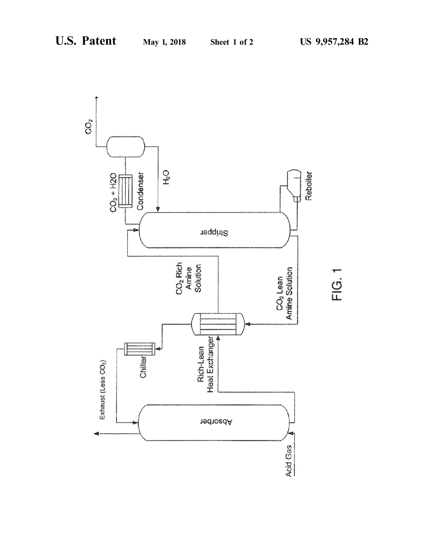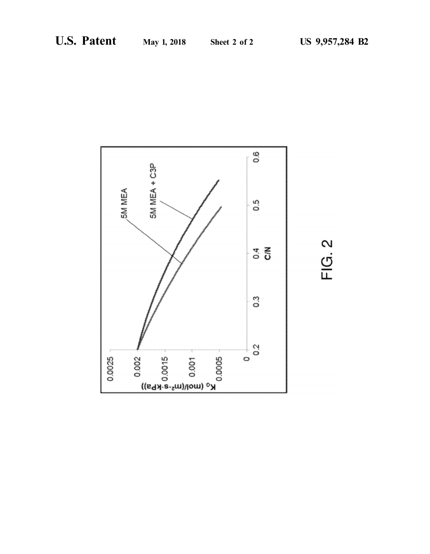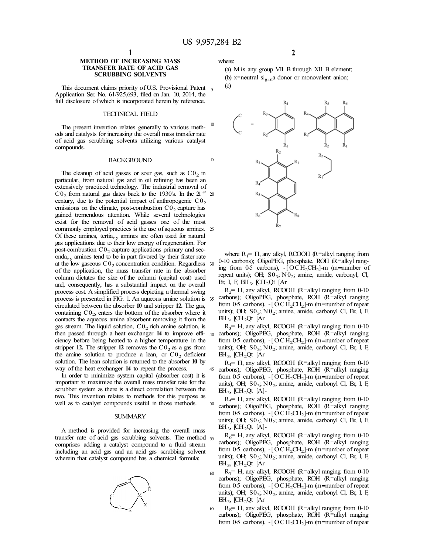# **METHOD OF INCREASING MASS TRANSFER RATE OF ACID GAS SCRUBBING SOLVENTS**

This document claims priority of U.S. Provisional Patent 5 Application Ser. No. 61/925,693, filed on Jan. 10, 2014, the full disclosure of which is incorporated herein by reference.

# TECHNICAL FIELD

The present invention relates generally to various methods and catalysts for increasing the overall mass transfer rate of acid gas scrubbing solvents utilizing various catalyst compounds.

# BACKGROUND 15

The cleanup of acid gasses or sour gas, such as  $C_0$  in particular, from natural gas and in oil refining has been an extensively practiced technology. The industrial removal of  $C_0$  from natural gas dates back to the 1930's. In the 21<sup>st</sup> 20 century, due to the potential impact of anthropogenic  $C_0$ , emissions on the climate, post-combustion  $C_02$  capture has gained tremendous attention. While several technologies exist for the removal of acid gasses one of the most commonly employed practices is the use of aqueous amines. 25 Of these amines, tertia<sub>ry</sub> amines are often used for natural gas applications due to their low energy of regeneration. For post-combustion  $CO<sub>2</sub>$  capture applications primary and sec- $\text{onda}_{\text{rv}}$  amines tend to be in part favored by their faster rate at the low gaseous  $C_2$  concentration condition. Regardless 30 of the application, the mass transfer rate in the absorber colunm dictates the size of the colurmi (capital cost) used and, consequently, has a substantial impact on the overall process cost. A simplified process depicting a thermal swing process is presented in FIG. 1. An aqueous amine solution is 35 circulated between the absorber **10** and stripper **12.** The gas, containing  $CO<sub>2</sub>$ , enters the bottom of the absorber where it contacts the aqueous amine absorbent removing it from the gas stream. The liquid solution,  $C_0$  rich amine solution, is then passed through a heat exchanger **14** to improve effi- <sup>40</sup> ciency before being heated to a higher temperature in the stripper 12. The stripper 12 removes the  $C_2$  as a gas from the amine solution to produce a lean, or  $C_0$  deficient solution. The lean solution is returned to the absorber **10** by

In order to minimize system capital (absorber cost) it is important to maximize the overall mass transfer rate for the scrubber system as there is a direct correlation between the two. This invention relates to methods for this purpose as

#### SUMMARY

A method is provided for increasing the overall mass transfer rate of acid gas scrubbing solvents. The method 55 comprises adding a catalyst compound to a fluid stream including an acid gas and an acid gas scrubbing solvent wherein that catalyst compound has a chemical formula:



(a) Mis any group VII B through XII B element; (b) x=neutral  $\dot{\mathbf{s}}_{\text{g}}$  ma donor or monovalent anion;

(c)

where:



where  $R_1$ = H, any alkyl, RCOOH (R=alkyl ranging from 0-10 carbons); OligoPEG, phosphate, ROH (R=alkyl ranging from 0-5 carbons),  $-[OCH<sub>2</sub>CH<sub>2</sub>]-m$  (m=number of repeat units); OH; S0<sub>3</sub>; N0<sub>2</sub>; amine, amide, carbonyl, Cl, Br, I, F,  $BH_3$ , [CH<sub>2</sub>Qt [Ar

 $R<sub>2</sub>= H$ , any alkyl, RCOOH (R=alkyl ranging from 0-10) carbons); OligoPEG, phosphate, ROH (R=alkyl ranging from 0-5 carbons),  $-[OCH<sub>2</sub>CH<sub>2</sub>]-m$  (m=number of repeat units); OH;  $SO_3$ ;  $NO_2$ ; amine, amide, carbonyl Cl, Br, I, F,  $BH<sub>3</sub>$ , [CH<sub>2</sub>Qt [Ar

 $R_3$ = H, any alkyl, RCOOH (R=alkyl ranging from 0-10) carbons); OligoPEG, phosphate, ROH (R=alkyl ranging from 0-5 carbons),  $-[OCH<sub>2</sub>CH<sub>2</sub>]$ -m (m=number of repeat units); OH;  $SO_3$ ; N $O_2$ ; amine, amide, carbonyl Cl, Br, I, F,  $BH<sub>3</sub>$ , [CH<sub>2</sub>Qt [Ar

 $R_4$ = H, any alkyl, RCOOH (R=alkyl ranging from 0-10 way of the heat exchanger 14 to repeat the process. 45 carbons); OligoPEG, phosphate, ROH (R=alkyl ranging from 0-5 carbons),  $-[OCH_2CH_2]$ -m (m=number of repeat units); OH;  $SO_3$ ;  $NO_2$ ; amine, amide, carbonyl Cl, Br, I, F,  $BH<sub>3</sub>$ , [CH<sub>2</sub>Qt [A]-

wo. This invention relates to methods for this purpose as  $R_5$  = H, any alkyl, RCOOH (R=alkyl ranging from 0-10 well as to catalyst compounds useful in those methods.  $50$  carbons). OlimpEG phosphate ROH (R=alkyl ranging carbons); OligoPEG, phosphate, ROH (R=alkyl ranging from 0-5 carbons),  $-[OCH<sub>2</sub>CH<sub>2</sub>]-m$  (m=number of repeat units); OH;  $SO_3$ ;  $NO_2$ ; amine, amide, carbonyl Cl, Br, I, F,  $BH_3$ , [CH<sub>2</sub>Qt [A]-

> $R_6$ = H, any alkyl, RCOOH (R=alkyl ranging from 0-10 carbons); OligoPEG, phosphate, ROH (R=alkyl ranging from 0-5 carbons),  $-$ [OCH<sub>2</sub>CH<sub>2</sub>]-m (m=number of repeat units); OH;  $SO_3$ ;  $NO_2$ ; amine, amide, carbonyl Cl, Br, I, F,  $BH<sub>3</sub>$ , [CH<sub>2</sub>Qt [Ar

- $_{60}$  R<sub>7</sub>= H, any alkyl, RCOOH (R=alkyl ranging from 0-10) carbons); OligoPEG, phosphate, ROH (R=alkyl ranging from 0-5 carbons),  $-[OCH<sub>2</sub>CH<sub>2</sub>]-m$  (m=number of repeat units); OH;  $SO_3$ ;  $NO_2$ ; amine, amide, carbonyl Cl, Br, I, F,  $BH<sub>3</sub>$ , [CH<sub>2</sub>Qt [Ar
- $65$  R<sub>8</sub>= H, any alkyl, RCOOH (R=alkyl ranging from 0-10) carbons); OligoPEG, phosphate, ROH (R=alkyl ranging from 0-5 carbons),  $-[OCH<sub>2</sub>CH<sub>2</sub>]-m$  (m=number of repeat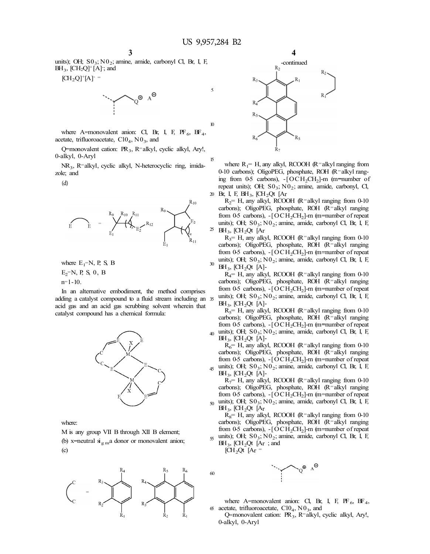5

15

units); OH; SO<sub>3</sub>; NO<sub>2</sub>; amine, amide, carbonyl Cl, Br, I, F,  $BH_3$ , [CH<sub>2</sub>Q]<sup>+</sup>[A]; and

 $[CH_2Q]^+[A]$ <sup>-</sup>



where A=monovalent anion: Cl, Br, I, F, PF $_6$ , BF<sub>4</sub>, acetate, trifluoroacetate,  $ClO<sub>4</sub>$ ,  $NO<sub>3</sub>$ , and

Q=monovalent cation: PR<sub>3</sub>, R=alkyl, cyclic alkyl, Ary!, 0-alkyl, 0-Aryl

NR<sub>3</sub>, R=alkyl, cyclic alkyl, N-heterocyclic ring, imidazole; and

(d)



where  $E_1 = N$ , P, S, B  $E_2 = N$ , P, S, O, B

 $n=1-10$ .

In an alternative embodiment, the method comprises adding a catalyst compound to a fluid stream including an  $35$ acid gas and an acid gas scrubbing solvent wherein that catalyst compound has a chemical formula:



where:

M is any group VII B through XII B element; (b) x=neutral  $\dot{\mathbf{s}}_{\text{g}}$  ma donor or monovalent anion; (c)





where  $R_1$ = H, any alkyl, RCOOH (R=alkyl ranging from 0-10 carbons); OligoPEG, phosphate, ROH (R=alkyl ranging from 0-5 carbons),  $-[OCH<sub>2</sub>CH<sub>2</sub>]-m$  (m=number of repeat units); OH; S0<sub>3</sub>; N0<sub>2</sub>; amine, amide, carbonyl, Cl, 20 Br, I, F, BH<sub>3</sub>, [CH<sub>2</sub>Qt [A<sub>r</sub>

 $R<sub>2</sub>= H$ , any alkyl, RCOOH (R=alkyl ranging from 0-10) carbons); OligoPEG, phosphate, ROH (R=alkyl ranging from 0-5 carbons),  $-[OCH<sub>2</sub>CH<sub>2</sub>]-m$  (m=number of repeat units); OH;  $SO_3$ ;  $NO_2$ ; amine, amide, carbonyl Cl, Br, I, F,  $25$  BH<sub>3</sub>, [CH<sub>2</sub>Qt [A<sub>r</sub>

 $R_3$ = H, any alkyl, RCOOH (R=alkyl ranging from 0-10 carbons); OligoPEG, phosphate, ROH (R=alkyl ranging from 0-5 carbons),  $-[OCH<sub>2</sub>CH<sub>2</sub>]-m$  (m=number of repeat units); OH;  $SO_3$ ; N $O_2$ ; amine, amide, carbonyl Cl, Br, I, F,  $^{30}$  BH<sub>3</sub>, [CH<sub>2</sub>Qt [A]-

 $R_4$ = H, any alkyl, RCOOH (R=alkyl ranging from 0-10 carbons); OligoPEG, phosphate, ROH (R=alkyl ranging from 0-5 carbons),  $-[OCH<sub>2</sub>CH<sub>2</sub>]-m$  (m=number of repeat  $35$  units); OH;  $S0_3$ ; N $0_2$ ; amine, amide, carbonyl Cl, Br, I, F,  $BH<sub>3</sub>$ , [CH<sub>2</sub>Qt [A]-

 $R_5$ = H, any alkyl, RCOOH (R=alkyl ranging from 0-10 carbons); OligoPEG, phosphate, ROH (R=alkyl ranging from 0-5 carbons),  $-$ [OCH<sub>2</sub>CH<sub>2</sub>]-m (m=number of repeat  $_{40}$  units); OH;  $SO_3$ ; N $O_2$ ; amine, amide, carbonyl Cl, Br, I, F,  $BH_3$ , [CH<sub>2</sub>Qt [A]-

 $R_6$  = H, any alkyl, RCOOH (R=alkyl ranging from 0-10) carbons); OligoPEG, phosphate, ROH (R=alkyl ranging from 0-5 carbons),  $-[OCH<sub>2</sub>CH<sub>2</sub>]-m$  (m=number of repeat 45 units); OH;  $SO_3$ ; N $O_2$ ; amine, amide, carbonyl Cl, Br, I, F,  $BH_3$ , [CH<sub>2</sub>Qt [A]-

 $R_7$  = H, any alkyl, RCOOH (R=alkyl ranging from 0-10 carbons); OligoPEG, phosphate, ROH (R=alkyl ranging from 0-5 carbons),  $-[OCH<sub>2</sub>CH<sub>2</sub>]-m$  (m=number of repeat  $50$  units); OH;  $S_0$ ; N $0_2$ ; amine, amide, carbonyl Cl, Br, I, F,  $BH<sub>3</sub>$ , [CH<sub>2</sub>Qt [A<sub>r</sub>

 $R<sub>8</sub>= H$ , any alkyl, RCOOH (R=alkyl ranging from 0-10) carbons); OligoPEG, phosphate, ROH (R=alkyl ranging from 0-5 carbons),  $-[OCH<sub>2</sub>CH<sub>2</sub>]-m$  (m=number of repeat  $55$  units); OH;  $SO_3$ ; NO<sub>2</sub>; amine, amide, carbonyl Cl, Br, I, F,  $BH_3$ ,  $[CH_2Qt [Ar; and]  
ICH<sub>2</sub>Ok [Ar =]$ 

 $[CH_2Qt]$  [Ar

60



where A=monovalent anion: CI, Br, I, F,  $F_6$ , BF<sub>4</sub>,  $66$  acetate, trifluoroacetate, Cl0<sub>4</sub>, N0<sub>3</sub>, and

Q=monovalent cation:  $PR_3$ , R=alkyl, cyclic alkyl, Ary!, 0-alkyl, 0-Aryl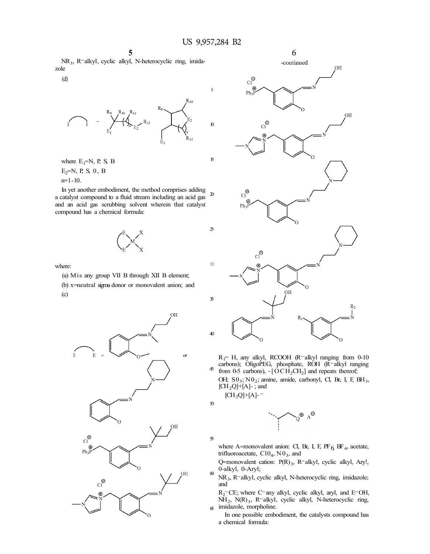5

15

 $\mathfrak{D}$ 

30

35

40

NR<sub>3</sub>, R=alkyl, cyclic alkyl, N-heterocyclic ring, imidazole

(d)

$$
E = \sum_{E_1}^{R_9} \underbrace{R_{10} R_{11}}_{E_1} R_{12} \underbrace{R_9}_{E_1} \underbrace{R_{10}}_{E_1} \underbrace{E_2}_{R_{11}}
$$

where  $E_1 = N$ , P, S, B  $E_2=N, P, S, 0, B$  $n=1-10$ .

In yet another embodiment, the method comprises adding a catalyst compound to a fluid stream including an acid gas  $\boldsymbol{\mathfrak{D}}$ and an acid gas scrubbing solvent wherein that catalyst compound has a chemical formula:



where:

(a) Mis any group VII B through XII B element;

(b) x=neutral sigma donor or monovalent anion; and (c)





 $R_1$ = H, any alkyl, RCOOH (R=alkyl ranging from 0-10 carbons); OligoPEG, phosphate, ROH (R=alkyl ranging  $45$  from 0-5 carbons),  $-[OCH<sub>2</sub>CH<sub>2</sub>]$  and repeats thereof;

OH;  $S0_3$ ;  $N0_2$ ; amine, amide, carbonyl, Cl, Br, I, F, BH<sub>3</sub>,  $[CH<sub>2</sub>Q]+[A]$ -; and  $[CH_2Q]+[A]$ - =

50

55



where A=monovalent anion: Cl, Br, I, F, PF  $_6$  BF<sub>4</sub>, acetate, trifluoroacetate,  $C10_4$ ,  $N0_3$ , and

60 Q=monovalent cation: P(R)<sub>3</sub>, R=alkyl, cyclic alkyl, Ary!, 0-alkyl, 0-Aryl;

NR<sub>3</sub>, R<sup>=</sup>alkyl, cyclic alkyl, N-heterocyclic ring, imidazole; and

 $R_2$ =CE; where C=any alkyl, cyclic alkyl, aryl, and E=OH, NH<sub>2</sub>, N(R)<sub>3</sub>, R=alkyl, cyclic alkyl, N-heterocyclic ring,  $65$  imidazole, morpholine.

In one possible embodiment, the catalysts compound has a chemical formula: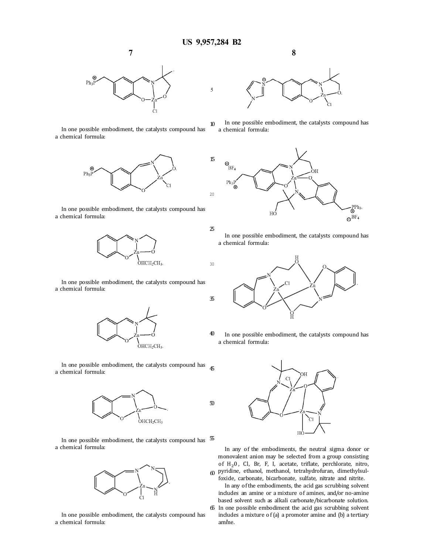

**7** 

In one possible embodiment, the catalysts compound has a chemical formula:



In one possible embodiment, the catalysts compound has a chemical formula:



In one possible embodiment, the catalysts compound has a chemical formula:



In one possible embodiment, the catalysts compound has  $45$ a chemical formula:



In one possible embodiment, the catalysts compound has  $\overline{5}$  a chemical formula:



In one possible embodiment, the catalysts compound has a chemical formula:



10 In one possible embodiment, the catalysts compound has a chemical formula:



In one possible embodiment, the catalysts compound has a chemical formula:



40 In one possible embodiment, the catalysts compound has a chemical formula:



In any of the embodiments, the neutral sigma donor or monovalent anion may be selected from a group consisting of  $H_2$ 0, Cl, Br, F, I, acetate, triflate, perchlorate, nitro, 60 pyridine, ethanol, methanol, tetrahydrofuran, dimethylsulfoxide, carbonate, bicarbonate, sulfate, nitrate and nitrite.

In any of the embodiments, the acid gas scrubbing solvent includes an amine or a mixture of amines, and/or no-amine based solvent such as alkali carbonate/bicarbonate solution. 65 In one possible embodiment the acid gas scrubbing solvent includes a mixture of (a) a promoter amine and (b) a tertiary amme.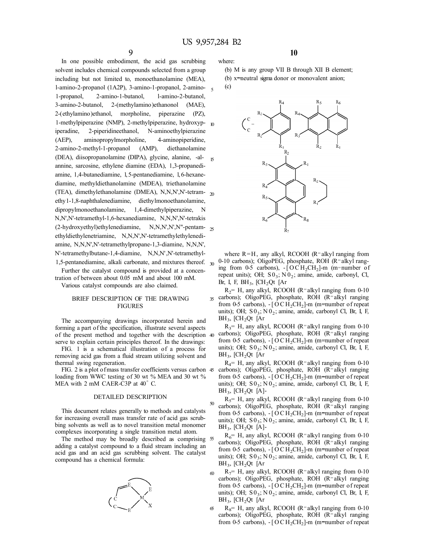where:

In one possible embodiment, the acid gas scrubbing solvent includes chemical compounds selected from a group including but not limited to, monoethanolamine (MEA), l-amino-2-propanol (1A2P), 3-amino-1-propanol, 2-amino- <sup>5</sup> 1-propanol, 2-amino-1-butanol, l-amino-2-butanol, 3-amino-2-butanol, 2-(methylamino )ethanonol (MAE), 2-( ethylamino )ethanol, morpholine, piperazine (PZ), 1-methylpiperazine (NMP), 2-methylpiperazine, hydroxyp- <sup>10</sup> iperadine, 2-piperidineethanol, N-aminoethylpierazine (AEP), aminopropylmorpholine, 4-aminopiperidine, 2-amino-2-methyl-1-propanol (AMP), diethanolamine (DEA), diisopropanolamine (DIPA), glycine, alanine, -al- <sup>15</sup> annine, sarcosine, ethylene diamine (EDA), 1,3-propanediamine, 1,4-butanediamine, 1, 5-pentanediamine, 1, 6-hexanediamine, methyldiethanolamine (MDEA), triethanolamine (TEA), dimethylethanolamine (DMEA), N,N,N',N'-tetram- <sup>20</sup> ethy 1-1,8-naphthalenediamine, diethy lmonoethanolamine, dipropylmonoethanolamine, 1,4-dimethylpiperazine, N N,N',N'-tetramethyl-1,6-hexanediamine, N,N,N',N'-tetrakis (2-hydroxyethyl)ethylenediamine, N,N,N',N',N"-pentam- <sup>25</sup> ethyldiethylenetriamine, N,N,N',N'-tetramethylethylenediamine, N,N,N',N'-tetramethylpropane-1,3-diamine, N,N,N', N'-tetramethylbutane-1,4-diamine, N,N,N' ,N'-tetramethyl-1,5-pentanediamine, alkali carbonate, and mixtures thereof.  $\frac{30}{20}$ 

Further the catalyst compound is provided at a concentration of between about 0.05 mM and about 100 mM.

Various catalyst compounds are also claimed.

# BRIEF DESCRIPTION OF THE DRAWING FIGURES

The accompanying drawings incorporated herein and forming a part of the specification, illustrate several aspects of the present method and together with the description 40 serve to explain certain principles thereof. In the drawings:

FIG. 1 is a schematical illustration of a process for removing acid gas from a fluid stream utilizing solvent and thermal swing regeneration.

FIG. 2 is a plot of mass transfer coefficients versus carbon 45 loading from WWC testing of 30 wt % MEA and 30 wt % MEA with 2 mM CAER-C3P at 40° C.

# DETAILED DESCRIPTION

This document relates generally to methods and catalysts for increasing overall mass transfer rate of acid gas scrubbing solvents as well as to novel transition metal monomer complexes incorporating a single transition metal atom.

The method may be broadly described as comprising 55 adding a catalyst compound to a fluid stream including an acid gas and an acid gas scrubbing solvent. The catalyst compound has a chemical formula:



**10** 

(b) M is any group VII B through XII B element; (b) x=neutral sigma donor or monovalent anion; (c)



where  $R=H$ , any alkyl, RCOOH ( $R$ <sup>=</sup> alkyl ranging from 0-10 carbons); OligoPEG, phosphate, ROH (R=alkyl ranging from 0-5 carbons),  $-[OCH_2CH_2]$ -m (m=number of repeat units); OH;  $S0_3$ ; N $0_2$ ; amine, amide, carbonyl, Cl, Br, I, F,  $BH_3$ , [CH<sub>2</sub>Qt [Ar

 $R<sub>2</sub>= H$ , any alkyl, RCOOH (R= alkyl ranging from 0-10)  $35$  carbons); OligoPEG, phosphate, ROH (R= alkyl ranging from 0-5 carbons),  $-$ [OCH<sub>2</sub>CH<sub>2</sub>] $-$ m (m=number of repeat units); OH;  $S0_3$ ; N $0_2$ ; amine, amide, carbonyl Cl, Br, I, F,  $BH<sub>3</sub>$ , [CH<sub>2</sub>Qt [Ar

 $R_3$ = H, any alkyl, RCOOH (R= alkyl ranging from 0-10) carbons); OligoPEG, phosphate, ROH (R= alkyl ranging from 0-5 carbons),  $-$ [OCH<sub>2</sub>CH<sub>2</sub>] $-$ m (m=number of repeat units); OH;  $S0_3$ ; N $0_2$ ; amine, amide, carbonyl Cl, Br, I, F,  $BH<sub>3</sub>$ , [CH<sub>2</sub>Qt [Ar

 $R_4$ = H, any alkyl, RCOOH (R= alkyl ranging from 0-10 carbons); OligoPEG, phosphate, ROH (R= alkyl ranging from 0-5 carbons),  $-$ [OCH<sub>2</sub>CH<sub>2</sub>] $-$ m (m=number of repeat units); OH;  $S0_3$ ; N $0_2$ ; amine, amide, carbonyl Cl, Br, I, F,  $BH<sub>3</sub>$ , [CH<sub>2</sub>Qt [A]-

 $R_5$ = H, any alkyl, RCOOH (R= alkyl ranging from 0-10 carbons); OligoPEG, phosphate, ROH (R= alkyl ranging from 0-5 carbons),  $-$ [OCH<sub>2</sub>CH<sub>2</sub>] $-$ m (m=number of repeat units); OH;  $S0_3$ ; N $0_2$ ; amine, amide, carbonyl Cl, Br, I, F,  $BH<sub>3</sub>$ , [CH<sub>2</sub>Qt [A]-

 $R_6$ = H, any alkyl, RCOOH (R= alkyl ranging from 0-10 carbons); OligoPEG, phosphate, ROH (R= alkyl ranging from 0-5 carbons),  $-[OCH<sub>2</sub>CH<sub>2</sub>]-m$  (m=number of repeat units); OH;  $S0_3$ ; N $0_2$ ; amine, amide, carbonyl Cl, Br, I, F,  $BH<sub>3</sub>$ , [CH<sub>2</sub>Qt [Ar

 $R_7$ = H, any alkyl, RCOOH (R= alkyl ranging from 0-10 carbons); OligoPEG, phosphate, ROH (R= alkyl ranging from 0-5 carbons),  $-$ [OCH<sub>2</sub>CH<sub>2</sub>] $-$ m (m=number of repeat units); OH;  $S0_3$ ; N $0_2$ ; amine, amide, carbonyl Cl, Br, I, F,  $BH<sub>3</sub>$ , [CH<sub>2</sub>Qt [Ar

 $6\text{ R}_8$ = H, any alkyl, RCOOH (R= alkyl ranging from 0-10) carbons); OligoPEG, phosphate, ROH (R= alkyl ranging from 0-5 carbons),  $-$ [OCH<sub>2</sub>CH<sub>2</sub>] $-$ m (m=number of repeat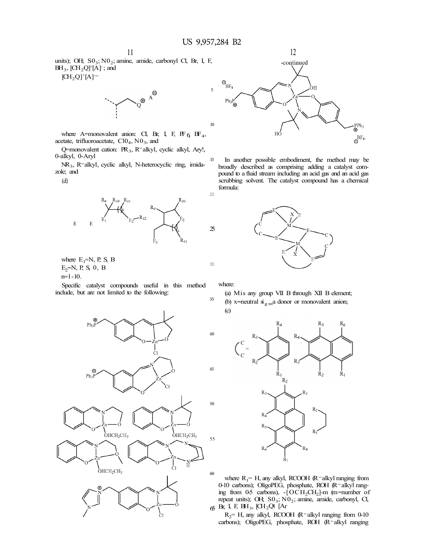5

15

20

25

30

units); OH;  $SO_3$ ;  $NO_2$ ; amine, amide, carbonyl Cl, Br, I, F,  $BH<sub>3</sub>$ , [CH<sub>2</sub>Q]<sup>+</sup>[A]<sup>-</sup>; and

 $[CH_2Q]^+[A]$ <sup>--</sup>



where A=monovalent anion: CI, Br, I, F, IF  $_6$  BF<sub>4</sub>, acetate, trifluoroacetate,  $ClO<sub>4</sub>$ ,  $NO<sub>3</sub>$ , and

Q=monovalent cation: PR<sub>3</sub>, R=alkyl, cyclic alkyl, Ary!, 0-alkyl, 0-Aryl

NR<sup>3</sup> , R=alkyl, cyclic alkyl, N-heterocyclic ring, imidazole; and

(d)



where  $E_1 = N$ , P, S, B  $E_2=N, P, S, 0, B$  $n=$  l  $-10$ .

Specific catalyst compounds useful in this method include, but are not limited to the following:



-continued  $\Theta_{\mathrm{BF_{4}}}$  $Ph_3F$ ົດ  $\oplus^{\text{PPh}_3}$ HÓ  $\mathsf{B}^{\mathrm{BF}_4}$ 

12

In another possible embodiment, the method may be broadly described as comprising adding a catalyst compound to a fluid stream including an acid gas and an acid gas scrubbing solvent. The catalyst compound has a chemical formula:



where:

(a) Mis any group VII B through XII B element; (b) x=neutral  $\dot{\mathbf{s}}_{\text{g m}}$ a donor or monovalent anion; (c)



where  $R_1$ = H, any alkyl, RCOOH (R=alkyl ranging from 0-10 carbons); OligoPEG, phosphate, ROH (R=alkyl ranging from 0-5 carbons),  $-[OCH<sub>2</sub>CH<sub>2</sub>]-m$  (m=number of repeat units); OH; S0<sub>3</sub>; N0<sub>2</sub>; amine, amide, carbonyl, Cl,  $66$  Br, I, F, BH<sub>3</sub>, [CH<sub>2</sub>Qt [Ar

 $R_2$ = H, any alkyl, RCOOH (R=alkyl ranging from 0-10 carbons); OligoPEG, phosphate, ROH (R=alkyl ranging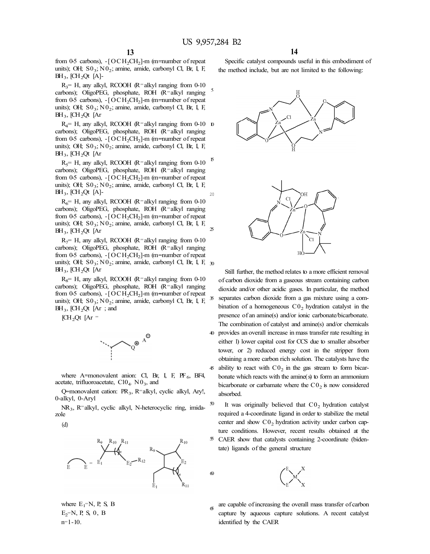from 0-5 carbons),  $-[OCH<sub>2</sub>CH<sub>2</sub>]-m$  (m=number of repeat units); OH;  $SO_3$ ;  $NO_2$ ; amine, amide, carbonyl Cl, Br, I, F,  $BH<sub>3</sub>$ , [CH<sub>2</sub>Qt [A]-

 $R_3$ = H, any alkyl, RCOOH (R=alkyl ranging from 0-10 carbons); OligoPEG, phosphate, ROH (R=alkyl ranging from 0-5 carbons),  $-[OCH<sub>2</sub>CH<sub>2</sub>]-m$  (m=number of repeat units); OH;  $SO_3$ ;  $NO_2$ ; amine, amide, carbonyl Cl, Br, I, F,  $BH<sub>3</sub>$ , [CH<sub>2</sub>Qt [Ar

 $R_4$ = H, any alkyl, RCOOH (R=alkyl ranging from 0-10 10 carbons); OligoPEG, phosphate, ROH (R=alkyl ranging from 0-5 carbons),  $-[OCH<sub>2</sub>CH<sub>2</sub>]$ -m (m=number of repeat units); OH;  $SO_3$ ;  $NO_2$ ; amine, amide, carbonyl Cl, Br, I, F,  $BH<sub>3</sub>$ , [CH<sub>2</sub>Qt [Ar

 $R_5$ = H, any alkyl, RCOOH (R=alkyl ranging from 0-10 carbons); OligoPEG, phosphate, ROH (R=alkyl ranging from 0-5 carbons),  $-[OCH<sub>2</sub>CH<sub>2</sub>]-m$  (m=number of repeat units); OH;  $SO_3$ ;  $NO_2$ ; amine, amide, carbonyl Cl, Br, I, F,  $BH<sub>3</sub>$ , [CH<sub>2</sub>Qt [A]-15 20

 $R<sub>6</sub>= H$ , any alkyl, RCOOH (R=alkyl ranging from 0-10) carbons); OligoPEG, phosphate, ROH (R=alkyl ranging from 0-5 carbons),  $-[OCH<sub>2</sub>CH<sub>2</sub>]-m$  (m=number of repeat units); OH;  $SO_3$ ;  $NO_2$ ; amine, amide, carbonyl Cl, Br, I, F,  $BH<sub>3</sub>$ , [CH<sub>2</sub>Qt [Ar  $\tilde{z}$ 

 $R_7$ = H, any alkyl, RCOOH (R=alkyl ranging from 0-10) carbons); OligoPEG, phosphate, ROH (R=alkyl ranging from 0-5 carbons),  $-[OCH<sub>2</sub>CH<sub>2</sub>]-m$  (m=number of repeat units); OH;  $SO_3$ ; N $O_2$ ; amine, amide, carbonyl Cl, Br, I, F,  $_{30}$  $BH_3$ ,  $CH_2Qt$  [Ar

 $R<sub>8</sub>$  = H, any alkyl, RCOOH (R=alkyl ranging from 0-10 carbons); OligoPEG, phosphate, ROH (R=alkyl ranging from 0-5 carbons),  $-[OCH<sub>2</sub>CH<sub>2</sub>]$ -m (m=number of repeat units); OH;  $SO_3$ ;  $NO_2$ ; amine, amide, carbonyl Cl, Br, I, F,  $BH<sub>3</sub>$ , [CH<sub>2</sub>Qt [Ar ; and

 $[CH<sub>2</sub>Ot]$   $[Ar =$ 



where A=monovalent anion: Cl, Br, I, F, PF $_6$ , BF4, acetate, trifluoroacetate,  $ClO<sub>4</sub>$ ,  $NO<sub>3</sub>$ , and

Q=monovalent cation: PR<sub>3</sub>, R=alkyl, cyclic alkyl, Ary!, 0-alkyl, 0-Aryl

zole

(d)



 $\epsilon$ 

where  $E_1 = N$ , P, S, B  $E_2 = N$ , P, S, O, B  $n=$  l  $-10$ .

**14**

Specific catalyst compounds useful in this embodiment of the method include, but are not limited to the following:



Still further, the method relates to a more efficient removal of carbon dioxide from a gaseous stream containing carbon dioxide and/or other acidic gases. In particular, the method 35 separates carbon dioxide from a gas mixture using a combination of a homogeneous  $CO<sub>2</sub>$  hydration catalyst in the presence of an amine(s) and/or ionic carbonate/bicarbonate. The combination of catalyst and amine(s) and/or chemicals 40 provides an overall increase in mass transfer rate resulting in either 1) lower capital cost for CCS due to smaller absorber tower, or 2) reduced energy cost in the stripper from obtaining a more carbon rich solution. The catalysts have the ability to react with  $CO<sub>2</sub>$  in the gas stream to form bicarbonate which reacts with the amine( s) to form an ammonium bicarbonate or carbamate where the  $C_0$  is now considered absorbed.

 $\overline{NR}_3$ , R=alkyl, cyclic alkyl, N-heterocyclic ring, imida-  $\overline{30}$  It was originally believed that C0<sub>2</sub> hydration catalyst required a 4-coordinate ligand in order to stabilize the metal center and show  $CO<sub>2</sub>$  hydration activity under carbon capture conditions. However, recent results obtained at the 55 CAER show that catalysts containing 2-coordinate (bidentate) ligands of the general structure



 $65$ are capable of increasing the overall mass transfer of carbon capture by aqueous capture solutions. A recent catalyst identified by the CAER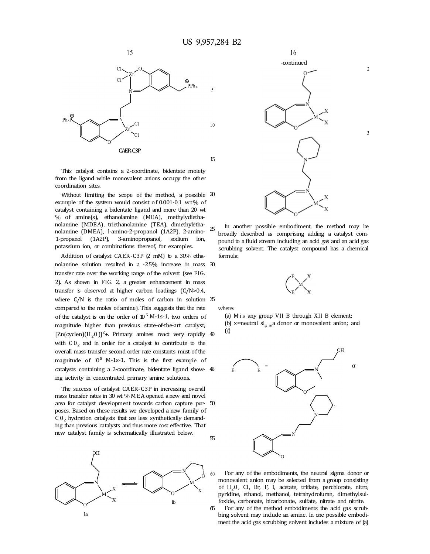

This catalyst contains a 2-coordinate, bidentate moiety from the ligand while monovalent anions occupy the other coordination sites.

Without limiting the scope of the method, a possible  $20$ example of the system would consist of 0.001-0.1 wt% of catalyst containing a bidentate ligand and more than 20 wt % of amine(s), ethanolamine (MEA), methylydiethanolamine (MDEA), triethanolamine (TEA), dimethylethanolamine (DMEA), l-amino-2-propanol (1A2P), 2-amino- $25$ 1-propanol (1A2P), 3-aminopropanol, sodium ion, potassium ion, or combinations thereof, for examples.

Addition of catalyst CAER-C3P (2 mM) to a 30% ethanolamine solution resulted in a -25% increase in mass 30 transfer rate over the working range of the solvent (see FIG. 2). As shown in FIG. 2, a greater enhancement in mass transfer is observed at higher carbon loadings (C/N>0.4, where C/N is the ratio of moles of carbon in solution 35 compared to the moles of amine). This suggests that the rate of the catalyst is on the order of  $10^5$  M-1s-1, two orders of magnitude higher than previous state-of-the-art catalyst,  $[Zn(cyclen)(H_2 0)]^2$ +. Primary amines react very rapidly 40 with  $C_0$  and in order for a catalyst to contribute to the overall mass transfer second order rate constants must of the magnitude of  $10^5$  M-1s-1. This is the first example of catalysts containing a 2-coordinate, bidentate ligand showing activity in concentrated primary amine solutions.

The success of catalyst CAER-C3P in increasing overall mass transfer rates in 30 wt % MEA opened a new and novel area for catalyst development towards carbon capture pur- 50 poses. Based on these results we developed a new family of C  $0<sub>2</sub>$  hydration catalysts that are less synthetically demanding than previous catalysts and thus more cost effective. That new catalyst family is schematically illustrated below. 55





In another possible embodiment, the method may be broadly described as comprising adding a catalyst compound to a fluid stream including an acid gas and an acid gas scrubbing solvent. The catalyst compound has a chemical formula:



where:

(a) Mis any group VII B through XII B element; (b) x=neutral  $\dot{\mathbf{s}}_{\text{g}}$  ma donor or monovalent anion; and (c)



For any of the embodiments, the neutral sigma donor or monovalent anion may be selected from a group consisting of  $H<sub>2</sub>0$ , Cl, Br, F, I, acetate, triflate, perchlorate, nitro, pyridine, ethanol, methanol, tetrahydrofuran, dimethylsulfoxide, carbonate, bicarbonate, sulfate, nitrate and nitrite.

For any of the method embodiments the acid gas scrubbing solvent may include an amine. In one possible embodiment the acid gas scrubbing solvent includes a mixture of (a)

3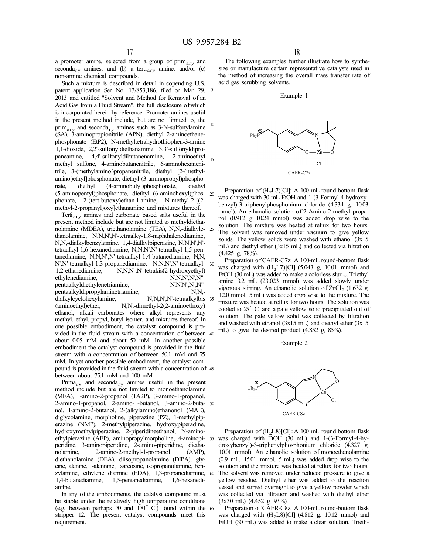a promoter amine, selected from a group of primary and seconda<sub>ry</sub> amines, and (b) a terti<sub>ary</sub> amine, and/or (c) non-amine chemical compounds.

Such a mixture is described in detail in copending U.S. patent application Ser. No. 13/853,186, filed on Mar. 29, 5 2013 and entitled "Solvent and Method for Removal of an Acid Gas from a Fluid Stream", the full disclosure of which is incorporated herein by reference. Promoter amines useful in the present method include, but are not limited to, the  $\text{prim}_{\text{ary}}$  and seconda<sub>ry</sub> amines such as 3-N-sulfonylamine (SA), 3-aminopropionitrile (APN), diethyl 2-aminoethanephosphonate (EtP2), N-methyltetrahydrothiophen-3-amine 1,1-dioxide, 2,2'-sulfonyldiethanamine, 3,3'-sulfonyldipropaneamine, 4,4'-sulfonyldibutanenamine, 2-aminoethyl<sub>15</sub> methyl sulfone, 4-aminobutanenitrile, 6-aminohexanenitrile, 3-(methylamino )propanenitrile, diethyl [2-(methylamino )ethyl]phosphonate, diethyl (3-aminopropyl)phosphonate, diethyl (4-aminobutyl)phosphonate, diethyl (5-aminopentyl)phosphonate, diethyl (6-aminohexyl)phos- 20 phonate, 2-(tert-butoxy)ethan-l-amine, N-methyl-2-[(2 methyl-2-propanyl)oxy]ethanamine and mixtures thereof.

Terti $_{\rm av}$  amines and carbonate based salts useful in the present method include but are not limited to methyldiethanolamine (MDEA), triethanolamine (TEA), N,N,-dialkyle- 25 thanolamine, N,N,N',N'-tetraalky-1,8-naphthalenediamine, N,N,-dialkylbenzylamine, 1,4-dialkylpiperazine, N,N,N',N' tetraalkyl-1,6-hexanediamine, N,N,N',N'-tetraalkyl-1,5-pentanediamine, N,N,N' ,N'-tetraalkyl-1,4-butanediamine, N,N, N',N'-tetraalkyl-1,3-propanediamine, N,N,N',N'-tetraalkyl- 30 1,2-ethanediamine, N,N,N' ,N'-tetrakis(2-hydroxyethyl) ethylenediamine, N,N,N',N',N',N'-<br>pentaalkyldiethylenetriamine, N,N,N',N',N''-N' pentaalkyldiethylenetriamine, pentaalkyldipropylaminetriamine, N,N, dialkylcyclohexylamine, N,N,N',N'-tetraalkylbis 35 (aminoethyl)ether, N,N,-dimethyl-2(2-aminoethoxy)

ethanol, alkali carbonates where alkyl represents any methyl, ethyl, propyl, butyl isomer, and mixtures thereof. In one possible embodiment, the catalyst compound is provided in the fluid stream with a concentration of between 40 about 0.05 mM and about 50 mM. In another possible embodiment the catalyst compound is provided in the fluid stream with a concentration of between 50.1 mM and 75 mM. In yet another possible embodiment, the catalyst compound is provided in the fluid stream with a concentration of 45 between about 75.1 mM and 100 mM.

Prima<sub>ry</sub> and seconda<sub>ry</sub> amines useful in the present method include but are not limited to monoethanolamine (MEA), l-amino-2-propanol (1A2P), 3-amino-1-propanol, 2-amino-1-propanol, 2-amino-1-butanol, 3-amino-2-buta- 50 no!, l-amino-2-butanol, 2-(alkylamino)ethanonol (MAE), diglycolamine, morpholine, piperazine (PZ), 1-methylpiperazine (NMP), 2-methylpiperazine, hydroxypiperadine, hydroxymethylpiperazine, 2-piperidineethanol, N-aminoethylpierazine (AEP), aminopropylmorpholine, 4-aminopi- 55 peridine, 3-aminopiperidine, 2-amino-piperidine, diethanolamine, 2-amino-2-methyl-1-propanol (AMP), diethanolamine (DEA), diisopropanolamine (DIPA), glycine, alanine, -alannine, sarcosine, isopropanolamine, benzylamine, ethylene diamine (EDA), 1,3-propanediamine, 60 1,4-butanediamine, 1,5-pentanediamine, 1,6-hexanediamme.

In any of the embodiments, the catalyst compound must be stable under the relatively high temperature conditions (e.g. between perhaps  $\frac{70}{2}$  and  $\frac{170}{2}$  C.) found within the 65 stripper 12. The present catalyst compounds meet this requirement.

The following examples further illustrate how to synthesize or manufacture certain representative catalysts used in the method of increasing the overall mass transfer rate of acid gas scrubbing solvents.

Example 1



Preparation of  $(H_2L7)[Cl]$ : A 100 mL round bottom flask was charged with 30 mL EtOH and 1-(3-Formyl-4-hydroxybenzyl)-3-triphenylphosphonium chloride (4.334 g, 10.03 mmol). An ethanolic solution of 2-Amino-2-methyl propanol (0.912 g 10.24 mmol) was added drop wise to the solution. The mixture was heated at reflux for two hours. The solvent was removed under vacuum to give yellow solids. The yellow solids were washed with ethanol (3x15 mL) and diethyl ether (3x15 mL) and collected via filtration (4.425 g, 78%).

Preparation of CAER-C7z: A 100-mL round-bottom flask was charged with  $(H<sub>2</sub>L7)[Cl]$  (5.043 g, 10.01 mmol) and EtOH (30 mL) was added to make a colorless slur<sub>ry</sub>. Triethyl amine 3.2 mL (23.023 mmol) was added slowly under vigorous stirring. An ethanolic solution of  $ZnCl_2$  (1.632 g, 12.0 mmol, 5 mL) was added drop wise to the mixture. The mixture was heated at reflux for two hours. The solution was cooled to  $25^\circ$  C. and a pale yellow solid precipitated out of solution. The pale yellow solid was collected by filtration and washed with ethanol (3x15 mL) and diethyl ether (3x15 mL) to give the desired product (4.852 g, 85%).

# Example 2



Preparation of  $(H_2L8)[Cl]: A 100 mL$  round bottom flask was charged with EtOH (30 mL) and 1-(3-Formyl-4-hydroxybenzyl)-3-triphenylphosphonium chloride (4.327 g, 10.01 mmol). An ethanolic solution of monoethanolamine (0.9 mL, 15.01 mmol, 5 mL) was added drop wise to the solution and the mixture was heated at reflux for two hours. The solvent was removed under reduced pressure to give a yellow residue. Diethyl ether was added to the reaction vessel and stirred overnight to give a yellow powder which was collected via filtration and washed with diethyl ether (3x30 mL) (4.452 g, 93%).

Preparation of CAER-C8z: A 100-mL round-bottom flask was charged with  $(H<sub>2</sub>L8)[Cl]$  (4.812 g, 10.12 mmol) and EtOH (30 mL) was added to make a clear solution. Trieth-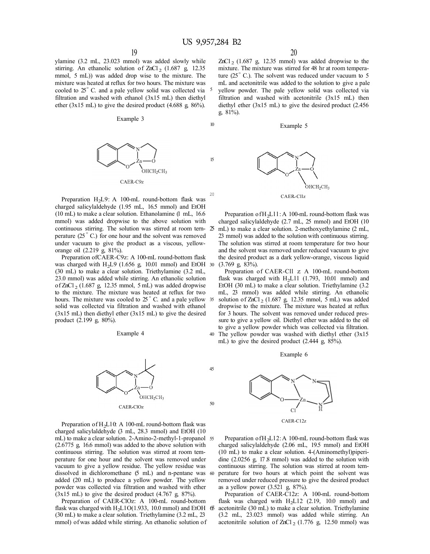15

20

45

ylamine (3.2 mL, 23.023 mmol) was added slowly while stirring. An ethanolic solution of  $ZnCl_2$  (1.687 g, 12.35) mmol, 5 mL)) was added drop wise to the mixture. The mixture was heated at reflux for two hours. The mixture was cooled to 25 ° C. and a pale yellow solid was collected via <sup>5</sup> filtration and washed with ethanol (3x15 mL) then diethyl ether (3x15 mL) to give the desired product (4.688 g,  $86\%$ ).

# Example 3



Preparation  $H<sub>2</sub>L9$ : A 100-mL round-bottom flask was charged salicylaldehyde (1.95 mL, 16.5 mmol) and EtOH (10 mL) to make a clear solution. Ethanolamine (1 mL, 16.6 mmol) was added dropwise to the above solution with continuous stirring. The solution was stirred at room tern-  $\delta$ perature (25 ° C.) for one hour and the solvent was removed under vacuum to give the product as a viscous, yelloworange oil (2.219 g, 81%).

Preparation ofCAER-C9z: A 100-mL round-bottom flask was charged with H2L9 (1.656 g, 10.01 mmol) and EtOH <sup>30</sup> (30 mL) to make a clear solution. Triethylamine (3.2 mL, 23.0 mmol) was added while stirring. An ethanolic solution of  $ZnCl_2$  (1.687 g, 12.35 mmol, 5 mL) was added dropwise to the mixture. The mixture was heated at reflux for two hours. The mixture was cooled to  $25^\circ$  C. and a pale yellow 35 solid was collected via filtration and washed with ethanol  $(3x15 \text{ mL})$  then diethyl ether  $(3x15 \text{ mL})$  to give the desired product (2.199 g, 80%).



Preparation of  $H<sub>2</sub>L10$ : A 100-mL round-bottom flask was charged salicylaldehyde (3 mL, 28.3 mmol) and EtOH (10 mL) to make a clear solution. 2-Amino-2-methyl-1-propanol 55 (2.6775 g, 16.6 mmol) was added to the above solution with continuous stirring. The solution was stirred at room temperature for one hour and the solvent was removed under vacuum to give a yellow residue. The yellow residue was dissolved in dichloromethane (5 mL) and n-pentane was 60 added (20 mL) to produce a yellow powder. The yellow powder was collected via filtration and washed with ether  $(3x15 \text{ mL})$  to give the desired product  $(4.767 \text{ g}, 87\%)$ .

Preparation of CAER-ClOz: A 100-mL round-bottom flask was charged with  $H_2L1O(1.933, 10.0 \text{ mmol})$  and EtOH  $65$ (30 mL) to make a clear solution. Triethylamine (3.2 mL, 23 mmol) of was added while stirring. An ethanolic solution of

 $ZnCl_2$  (1.687 g, 12.35 mmol) was added dropwise to the mixture. The mixture was stirred for 48 hr at room temperature (25° C.). The solvent was reduced under vacuum to 5 mL and acetonitrile was added to the solution to give a pale yellow powder. The pale yellow solid was collected via filtration and washed with acetonitrile (3x15 mL) then diethyl ether (3x15 mL) to give the desired product (2.456) g, 81%).

# Example 5



Preparation of  $H<sub>2</sub>L11$  : A 100-mL round-bottom flask was charged salicylaldehyde (2.7 mL, 25 mmol) and EtOH (10 mL) to make a clear solution. 2-methoxyethylamine (2 mL, 23 mmol) was added to the solution with continuous stirring. The solution was stirred at room temperature for two hour and the solvent was removed under reduced vacuum to give the desired product as a dark yellow-orange, viscous liquid (3.769 g, 83%).

Preparation of CAER-Cll z A 100-mL round-bottom flask was charged with  $H<sub>2</sub>L11$  (1.793, 10.01 mmol) and EtOH (30 mL) to make a clear solution. Triethylamine (3.2 mL, 23 mmol) was added while stirring. An ethanolic solution of  $ZnCl_2$  (1.687 g, 12.35 mmol, 5 mL) was added dropwise to the mixture. The mixture was heated at reflux for 3 hours. The solvent was removed under reduced pressure to give a yellow oil. Diethyl ether was added to the oil to give a yellow powder which was collected via filtration. Example 4 40 The yellow powder was washed with diethyl ether (3x15 mL) to give the desired product (2.444 g, 85%).

### Example 6



Preparation of  $H_2L12$ : A 100-mL round-bottom flask was charged salicylaldehyde (2.06 mL, 19.5 mmol) and EtOH (10 mL) to make a clear solution. 4-(Aminomethyl)piperidine  $(2.0256 \text{ g}, 17.8 \text{ mmol})$  was added to the solution with continuous stirring. The solution was stirred at room temperature for two hours at which point the solvent was removed under reduced pressure to give the desired product as a yellow power (3.521 g, 87%).

Preparation of CAER-C12z: A 100-mL round-bottom flask was charged with  $H<sub>2</sub>L12$  (2.19, 10.0 mmol) and acetonitrile (30 mL) to make a clear solution. Triethylamine (3.2 mL, 23.023 mmol) was added while stirring. An acetonitrile solution of  $ZnCl_2$  (1.776 g, 12.50 mmol) was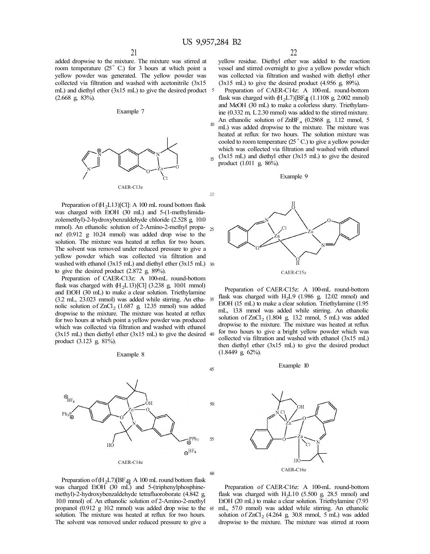60

added dropwise to the mixture. The mixture was stirred at room temperature (25° C.) for 3 hours at which point a yellow powder was generated. The yellow powder was collected via filtration and washed with acetonitrile (3x15 mL) and diethyl ether (3x15 mL) to give the desired product 5 (2.668 g, 83%).

# Example 7



Preparation of  $(H_2L13)$ [Cl]: A 100 mL round bottom flask was charged with EtOH (30 mL) and 5-(1-methylimidazolemethyl)-2-hydroxybenzaldehyde chloride (2.528 g, 10.0 mmol). An ethanolic solution of 2-Amino-2-methyl propano! (0.912 g 10.24 mmol) was added drop wise to the solution. The mixture was heated at reflux for two hours. The solvent was removed under reduced pressure to give a yellow powder which was collected via filtration and washed with ethanol (3x15 mL) and diethyl ether (3x15 mL) 30 to give the desired product (2.872 g, 89%).

Preparation of CAER-C13z: A 100-mL round-bottom flask was charged with  $(H<sub>2</sub>L13)[Cl]$  (3.238 g, 10.01 mmol) and EtOH (30 mL) to make a clear solution. Triethylamine (3.2 mL, 23.023 mmol) was added while stirring. An etha- 35 nolic solution of  $ZnCl<sub>2</sub>$  (1.687 g, 12.35 mmol) was added dropwise to the mixture. The mixture was heated at reflux for two hours at which point a yellow powder was produced which was collected via filtration and washed with ethanol  $(3x15 \text{ mL})$  then diethyl ether  $(3x15 \text{ mL})$  to give the desired 40 product (3.123 g, 81%).

#### Example 8

![](_page_15_Figure_8.jpeg)

yellow residue. Diethyl ether was added to the reaction vessel and stirred overnight to give a yellow powder which was collected via filtration and washed with diethyl ether  $(3x15 \text{ mL})$  to give the desired product  $(4.956 \text{ g}, 89\%)$ .

Preparation of CAER-C14z: A 100-mL round-bottom flask was charged with  $(H<sub>2</sub>L7)$ [BF4] (1.1108 g, 2.002 mmol) and MeOH (30 mL) to make a colorless slurry. Triethylamine (0.332 m, L 2.30 mmol) was added to the stirred mixture. An ethanolic solution of  $\text{ZnBF}_4$  (0.2868 g, 1.12 mmol, 5)  $10$  mL) was added dropwise to the mixture. The mixture was heated at reflux for two hours. The solution mixture was cooled to room temperature (25 ° C.) to give a yellow powder which was collected via filtration and washed with ethanol  $15$  (3x15 mL) and diethyl ether (3x15 mL) to give the desired product (1.011 g, 86%).

# Example 9

![](_page_15_Figure_13.jpeg)

Preparation of CAER-C15z: A 100-mL round-bottom flask was charged with  $H<sub>2</sub>L9$  (1.986 g, 12.02 mmol) and EtOH (15 mL) to make a clear solution. Triethylamine (1.95 mL, 13.8 mmol was added while stirring. An ethanolic solution of  $ZnCl<sub>2</sub>$  (1.804 g, 13.2 mmol, 5 mL) was added dropwise to the mixture. The mixture was heated at reflux for two hours to give a bright yellow powder which was collected via filtration and washed with ethanol (3x15 mL) then diethyl ether (3x15 mL) to give the desired product (1.8449 g, 62%).

## Example 10

![](_page_15_Figure_16.jpeg)

Preparation of  $(H_2L7)[BF_{4}$ : A 100 mL round bottom flask was charged EtOH (30 mL) and 5-(triphenylphosphinemethyl)-2-hydroxybenzaldehyde tetrafluoroborate (4.842 g, 10.0 mmol) of. An ethanolic solution of 2-Amino-2-methyl propanol (0.912 g 10.2 mmol) was added drop wise to the 65 solution. The mixture was heated at reflux for two hours. The solvent was removed under reduced pressure to give a

Preparation of CAER-C16z: A 100-mL round-bottom flask was charged with  $H<sub>2</sub>L10$  (5.500 g, 28.5 mmol) and EtOH (20 mL) to make a clear solution. Triethylamine (7.93 mL, 57.0 mmol) was added while stirring. An ethanolic solution of  $ZnCl<sub>2</sub>$  (4.264 g, 30.8 mmol, 5 mL) was added dropwise to the mixture. The mixture was stirred at room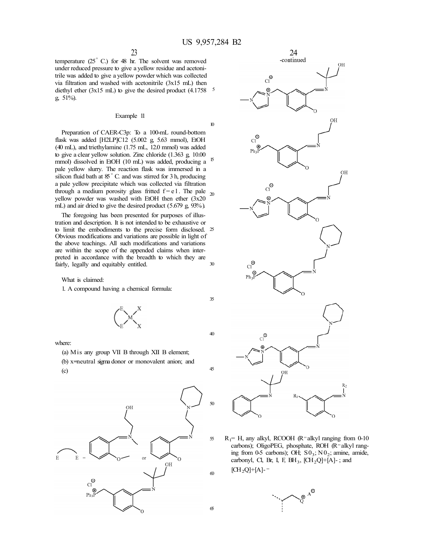35

40

45

temperature (25° C.) for 48 hr. The solvent was removed under reduced pressure to give a yellow residue and acetonitrile was added to give a yellow powder which was collected via filtration and washed with acetonitrile (3x15 mL) then diethyl ether (3x15 mL) to give the desired product  $(4.1758<sup>-5</sup>)$ g, 51%).

# Example 11

Preparation of CAER-C3p: To a 100-mL round-bottom flask was added [H2LP]C12 (5.002 g, 5.63 mmol), EtOH ( 40 mL), and triethylamine (1.75 mL, 12.0 mmol) was added to give a clear yellow solution. Zinc chloride (1.363 g, 10.00 mmol) dissolved in EtOH (10 mL) was added, producing a <sup>15</sup> pale yellow slurry. The reaction flask was immersed in a silicon fluid bath at  $\delta^{\circ}$  C. and was stirred for 3 h, producing a pale yellow precipitate which was collected via filtration through a medium porosity glass fritted  $f = e1$ . The pale  $_{20}$ yellow powder was washed with EtOH then ether (3x20 mL) and air dried to give the desired product (5.679 g, 93%).

The foregoing has been presented for purposes of illustration and description. It is not intended to be exhaustive or to limit the embodiments to the precise form disclosed. 25 Obvious modifications and variations are possible in light of the above teachings. All such modifications and variations are within the scope of the appended claims when interpreted in accordance with the breadth to which they are fairly, legally and equitably entitled. 30

What is claimed:

1. A compound having a chemical formula:

![](_page_16_Figure_8.jpeg)

where:

![](_page_16_Figure_10.jpeg)

(b) x=neutral sigma donor or monovalent anion; and (c)

![](_page_16_Figure_12.jpeg)

![](_page_16_Figure_13.jpeg)

 $R_1$ = H, any alkyl, RCOOH (R=alkyl ranging from 0-10) carbons); OligoPEG, phosphate, ROH (R=alkyl ranging from 0-5 carbons); OH;  $S_3$ ;  $N_2$ ; amine, amide, carbonyl, Cl, Br, I, F,  $BH_3$ ,  $[CH_2Q]+[A]$ -; and  $[CH_2Q]+[A]$ - =

![](_page_16_Figure_15.jpeg)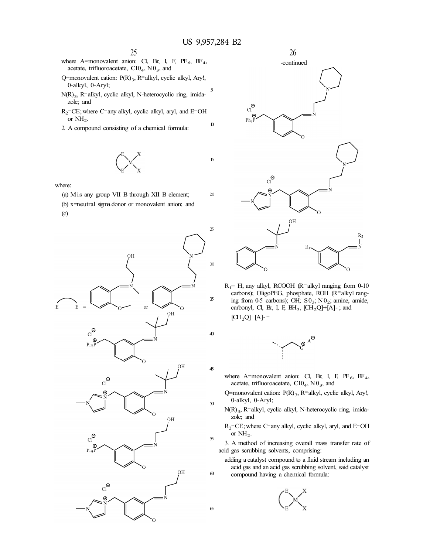5

15

20

- where A=monovalent anion: Cl, Br, I, F, PF $_6$ , BF<sub>4</sub>, acetate, trifluoroacetate,  $ClO<sub>4</sub>$ ,  $NO<sub>3</sub>$ , and
- Q=monovalent cation: P(R)<sub>3</sub>, R=alkyl, cyclic alkyl, Ary!, 0-alkyl, 0-Aryl;
- N(R)<sub>3</sub>, R=alkyl, cyclic alkyl, N-heterocyclic ring, imidazole; and
- R2 =CE; where C=any alkyl, cyclic alkyl, aryl, and E=OH or  $NH<sub>2</sub>$ .
- 2. A compound consisting of a chemical formula:

![](_page_17_Figure_7.jpeg)

where:

(a) Mis any group VII B through XII B element; (b) x=neutral sigma donor or monovalent anion; and (c)

![](_page_17_Figure_10.jpeg)

![](_page_17_Figure_11.jpeg)

 $R_1$ = H, any alkyl, RCOOH (R=alkyl ranging from 0-10) carbons); OligoPEG, phosphate, ROH (R=alkyl ranging from 0-5 carbons); OH;  $S0_3$ ;  $N0_2$ ; amine, amide, carbonyl, Cl, Br, I, F,  $BH_3$ ,  $[CH_2Q]+[A]$ -; and  $[CH_2Q]+[A]$ -

![](_page_17_Figure_13.jpeg)

- where A=monovalent anion: Cl, Br, I, F, PF  $_6$ , BF  $_4$ , acetate, trifluoroacetate,  $ClO<sub>4</sub>$ ,  $NO<sub>3</sub>$ , and
- Q=monovalent cation: P(R)<sub>3</sub>, R=alkyl, cyclic alkyl, Ary!, 0-alkyl, 0-Aryl;
- N(R)<sub>3</sub>, R=alkyl, cyclic alkyl, N-heterocyclic ring, imidazole; and
- R2 =CE; where C=any alkyl, cyclic alkyl, aryl, and E=OH or  $NH_2$ .
- 3. A method of increasing overall mass transfer rate of acid gas scrubbing solvents, comprising:
- adding a catalyst compound to a fluid stream including an acid gas and an acid gas scrubbing solvent, said catalyst compound having a chemical formula:

![](_page_17_Figure_20.jpeg)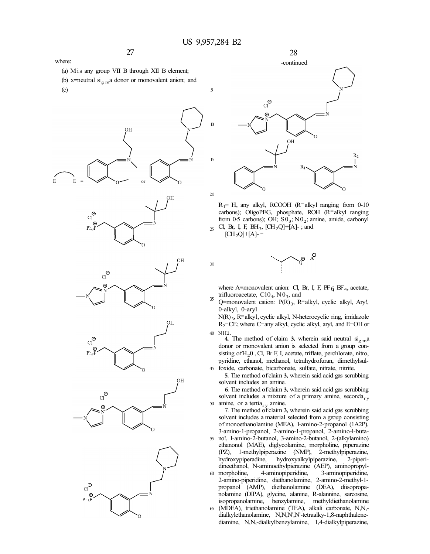(a) Mis any group VII B through XII B element;

- (b) x=neutral  $\dot{\mathbf{s}}_{\text{g}}$  ma donor or monovalent anion; and
- (c)

where:

![](_page_18_Figure_5.jpeg)

![](_page_18_Figure_6.jpeg)

 $R_1$ = H, any alkyl, RCOOH (R=alkyl ranging from 0-10 carbons); OligoPEG, phosphate, ROH (R=alkyl ranging from 0-5 carbons); OH;  $SO_3$ ; N $O_2$ ; amine, amide, carbonyl  $\Sigma$  Cl, Br, I, F, BH<sub>3</sub>, [CH<sub>2</sub>Q]+[A]-; and

 $[CH_2Q]+[A]-$ 

![](_page_18_Figure_9.jpeg)

where A=monovalent anion: Cl, Br, I, F, PF  $_6$  BF<sub>4</sub>, acetate, trifluoroacetate,  $C10<sub>4</sub>$ , N $0<sub>3</sub>$ , and

35 Q=monovalent cation: P(R)<sub>3</sub>, R=alkyl, cyclic alkyl, Ary!, 0-alkyl, 0-aryl

N(R)<sub>3</sub>, R=alkyl, cyclic alkyl, N-heterocyclic ring, imidazole R2 =CE; where C=any alkyl, cyclic alkyl, aryl, and E=OH or 40 NH2.

**4.** The method of claim **3,** wherein said neutral  $\dot{\mathbf{s}}_{\text{g}}$  ma donor or monovalent anion is selected from a group consisting of H<sub>2</sub>0, Cl, Br F, I, acetate, triflate, perchlorate, nitro, pyridine, ethanol, methanol, tetrahydrofuran, dimethylsul-45 foxide, carbonate, bicarbonate, sulfate, nitrate, nitrite.

**5.** The method of claim **3,** wherein said acid gas scrubbing solvent includes an amine.

**6.** The method of claim **3,** wherein said acid gas scrubbing solvent includes a mixture of a primary amine, seconda<sub>r v</sub> 50 amine, or a tertia<sub>ry</sub> amine.

7. The method of claim **3,** wherein said acid gas scrubbing solvent includes a material selected from a group consisting of monoethanolamine (MEA), l-amino-2-propanol (1A2P), 3-amino-1-propanol, 2-amino-1-propanol, 2-amino-l-buta-55 no!, l-amino-2-butanol, 3-amino-2-butanol, 2-(alkylamino) ethanonol (MAE), diglycolamine, morpholine, piperazine (PZ), 1-methylpiperazine (NMP), 2-methylpiperazine, hydroxypiperadine, hydroxyalkylpiperazine, 2-piperidineethanol, N-aminoethylpierazine (AEP), aminopropyl-<br>
6 morpholine, 4-aminopiperidine, 3-aminopiperidine, 4-aminopiperidine, 3-aminopiperidine, 2-amino-piperidine, diethanolamine, 2-amino-2-methyl-1 propanol (AMP), diethanolamine (DEA), diisopropanolamine (DIPA), glycine, alanine, R-alannine, sarcosine, isopropanolamine, benzylamine, methyldiethanolamine 65 (MDEA), triethanolamine (TEA), alkali carbonate, N,N,-

dialkylethanolamine, N,N,N',N'-tetraalky-1,8-naphthalenediamine, N,N,-dialkylbenzylamine, 1,4-dialkylpiperazine,